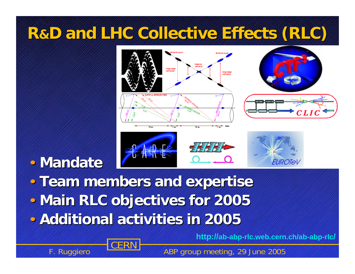### **R &D and LHC Collective Effects (RLC) D and LHC Collective Effects (RLC)**



### • **Mandate Mandate**

• **Team members and expertise Team members and expertise** • **Main RLC objectives for 2005 Main RLC objectives for 2005 • Additional activities in 2005** 



**http://ab-abp-rlc.web.cern.ch/ab-abp-rlc/**

F. Ruggiero **CERN F. ABP group meeting, 29 June 2005**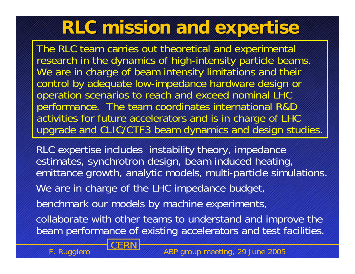### **RLC mission and expertise RLC mission and expertise**

The RLC team carries out theoretical and experimental research in the dynamics of high-intensity particle beams. We are in charge of beam intensity limitations and their control by adequate low-impedance hardware design or operation scenarios to reach and exceed nominal LHC performance. The team coordinates international R&D activities for future accelerators and is in charge of LHC upgrade and CLIC/CTF3 beam dynamics and design studies.

RLC expertise includes instability theory, impedance estimates, synchrotron design, beam induced heating, emittance growth, analytic models, multi-particle simulations. We are in charge of the LHC impedance budget, benchmark our models by machine experiments, collaborate with other teams to understand and improve the beam performance of existing accelerators and test facilities.



F. Ruggiero **CERN F. ABP group meeting, 29 June 2005**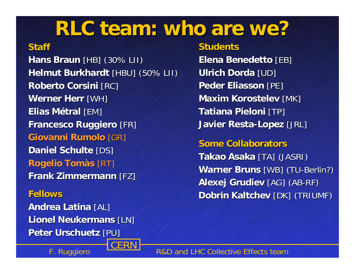### **RLC team: who are we? RLC team: who are we?**

#### **Staff**

**Hans Braun** [HB] (30% LII) **Helmut Burkhardt** [HBU] (50% LII) **Roberto Corsini [RC] Werner Herr [WH] Elias Métral** [EM] **Francesco Ruggiero Francesco Ruggiero** [FR] **Giovanni Rumolo Giovanni Rumolo** [GR] **Daniel Schulte [DS] Rogelio Tom às** [RT] **Frank Zimmermann [FZ]** 

**Fellows FellowsAndrea Latina [AL] Lionel Neukermans [LN] Peter Urschuetz [PU]** 

**Students Students Elena Benedetto [EB] Ulrich Dorda [UD] Peder Eliasson [PE] Maxim Korostelev [MK] Tatiana Pieloni [TP] Javier Resta Javier Resta -Lopez** [JRL]

**Some Collaborators Some Collaborators Takao Asaka [TA] (JASRI) Warner Bruns** [WB] (TU-Berlin?) **Alexej Grudiev [AG] (AB-RF) Dobrin Kaltchev [DK] (TRIUMF)** 

F. Ruggiero **COLINIA** R&D and LHC Collective Effects team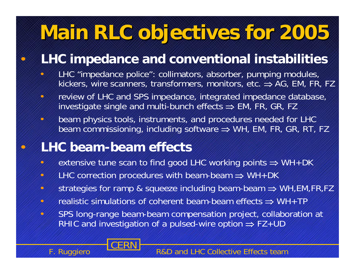## **Main RLC objectives for 2005 Main RLC objectives for 2005**

#### **LHC impedance and conventional instabilities**

- $\bullet$  LHC "impedance police": collimators, absorber, pumping modules, kickers, wire scanners, transformers, monitors, etc. ⇒ AG, EM, FR, FZ
- $\bullet$  review of LHC and SPS impedance, integrated impedance database, investigate single and multi-bunch effects  $\Rightarrow$  EM, FR, GR, FZ
- $\mathbf{\Omega}$  beam physics tools, instruments, and procedures needed for LHC beam commissioning, including software  $\Rightarrow$  WH, EM, FR, GR, RT, FZ

#### **LHC beam-beam effects**

- $\bullet$ • extensive tune scan to find good LHC working points  $\Rightarrow$  WH+DK
- $\bullet$ • LHC correction procedures with beam-beam  $\Rightarrow$  WH+DK
- $\bullet$ strategies for ramp & squeeze including beam-beam ⇒ WH,EM,FR,FZ
- $\bigcirc$ • realistic simulations of coherent beam-beam effects  $\Rightarrow$  WH+TP
- $\bullet$  SPS long-range beam-beam compensation project, collaboration at RHIC and investigation of a pulsed-wire option  $\Rightarrow$  FZ+UD



 $\bullet$ 

 $\bullet$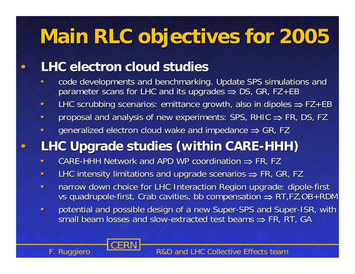## **Main RLC objectives for 2005 Main RLC objectives for 2005**

#### **LHC electron cloud studies LHC electron cloud studies**

 $\bullet$ 

 $\bullet$ 

- •code developments and benchmarking. Update SPS simulations and parameter scans for LHC and its upgrades  $\Rightarrow$  DS, GR, FZ+EB
- $\bullet$ • LHC scrubbing scenarios: emittance growth, also in dipoles  $\Rightarrow$  FZ+EB
- $\bullet$ • proposal and analysis of new experiments: SPS, RHIC  $\Rightarrow$  FR, DS, FZ
- $\bullet$ • generalized electron cloud wake and impedance  $\Rightarrow$  GR, FZ

#### **LHC Upgrade studies (within CARE LHC Upgrade studies (within CARE -HHH)**

- $\bullet$ • CARE-HHH Network and APD WP coordination  $\Rightarrow$  FR, FZ
- $\bullet$ • LHC intensity limitations and upgrade scenarios  $\Rightarrow$  FR, GR, FZ
- $\bullet$ • narrow down choice for LHC Interaction Region upgrade: dipole-first vs quadrupole-first, Crab cavities, bb compensation  $\Rightarrow$  RT,FZ,OB+RDM
- •potential and possible design of a new Super-SPS and Super-ISR, with small beam losses and slow-extracted test beams  $\Rightarrow$  FR, RT, GA

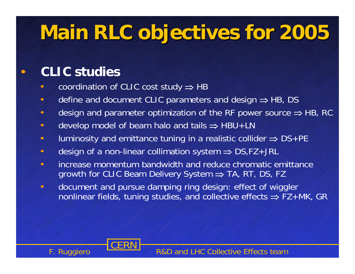## **Main RLC objectives for 2005 Main RLC objectives for 2005**

#### **CLIC studies**

 $\bullet$ 

- $\bullet$ • coordination of CLIC cost study ⇒ HB
- $\bullet$ • define and document CLIC parameters and design ⇒ HB, DS
- $\bullet$  $\cdot$  design and parameter optimization of the RF power source  $\Rightarrow$  HB, RC
- $\bullet$ • develop model of beam halo and tails ⇒ HBU+LN
- $\bullet$ • Iuminosity and emittance tuning in a realistic collider  $\Rightarrow$  DS+PE
- $\bullet$ • design of a non-linear collimation system  $\Rightarrow$  DS,FZ+JRL
- • increase momentum bandwidth and reduce chromatic emittance growth for CLIC Beam Delivery System ⇒ TA, RT, DS, FZ
- $\bullet$  document and pursue damping ring design: effect of wiggler nonlinear fields, tuning studies, and collective effects  $\Rightarrow$  FZ+MK, GR

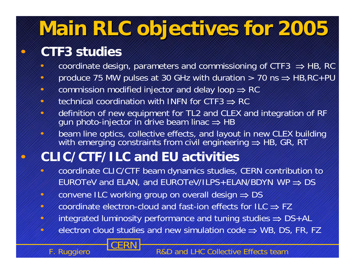# **Main RLC ob Main RLC objectives for 2005 jectives for 2005**

#### **CTF3 studies**

 $\bullet$ 

 $\bullet$ 

- $\bullet$ • coordinate design, parameters and commissioning of CTF3  $\Rightarrow$  HB, RC
- $\bullet$ • produce 75 MW pulses at 30 GHz with duration  $>$  70 ns  $\Rightarrow$  HB, RC + PU
- •• commission modified injector and delay loop  $\Rightarrow$  RC
- $\bullet$ • technical coordination with INFN for CTF3  $\Rightarrow$  RC
- $\bullet$  definition of new equipment for TL2 and CLEX and integration of RF gun photo-injector in drive beam linac ⇒ HB
- $\bullet$  beam line optics, collective effects, and layout in new CLEX building with emerging constraints from civil engineering  $\Rightarrow$  HB, GR, RT

#### **CLIC/CTF/ILC and EU activities**

- $\bullet$  coordinate CLIC/CTF beam dynamics studies, CERN contribution to <code>EUROTeV</code> and <code>ELAN</code>, and <code>EUROTeV/ILPS+ELAN/BDYN</code> WP  $\Rightarrow$  <code>DS</code>
- $\bullet$ convene ILC working group on overall design ⇒ DS
- $\bullet$ • coordinate electron-cloud and fast-ion effects for ILC  $\Rightarrow$  FZ
- $\bullet$ • integrated luminosity performance and tuning studies ⇒ DS+AL
- $\bullet$ • electron cloud studies and new simulation code  $\Rightarrow$  WB, DS, FR, FZ